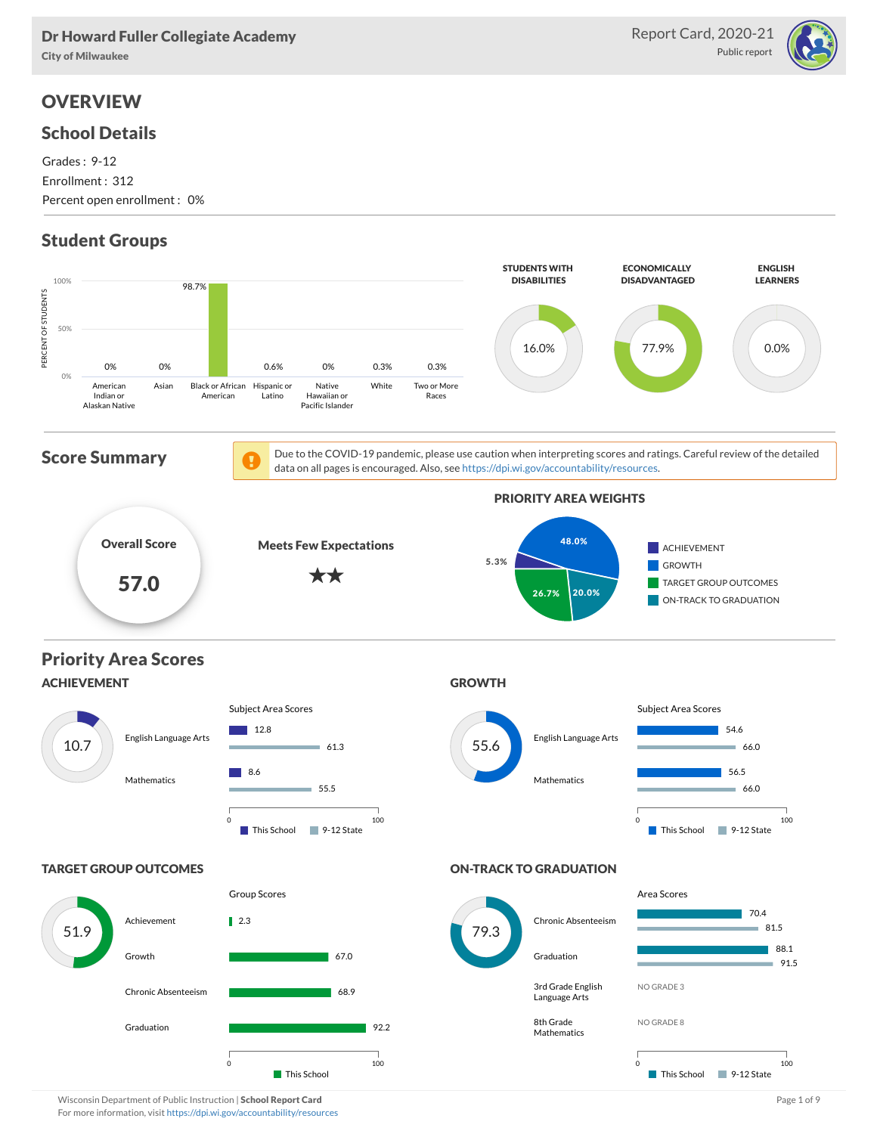#### Dr Howard Fuller Collegiate Academy

City of Milwaukee

# **OVERVIEW**

#### School Details

Grades : 9-12 Enrollment : 312 Percent open enrollment : 0%

# Student Groups





Wisconsin Department of Public Instruction | School Report Card Page 1 of 9 and Page 1 of 9 and Page 1 of 9 and Page 1 of 9 and Page 1 of 9 and Page 1 of 9 and Page 1 of 9 and Page 1 of 9 and Page 1 of 9 and Page 1 of 9 an For more information, visit <https://dpi.wi.gov/accountability/resources>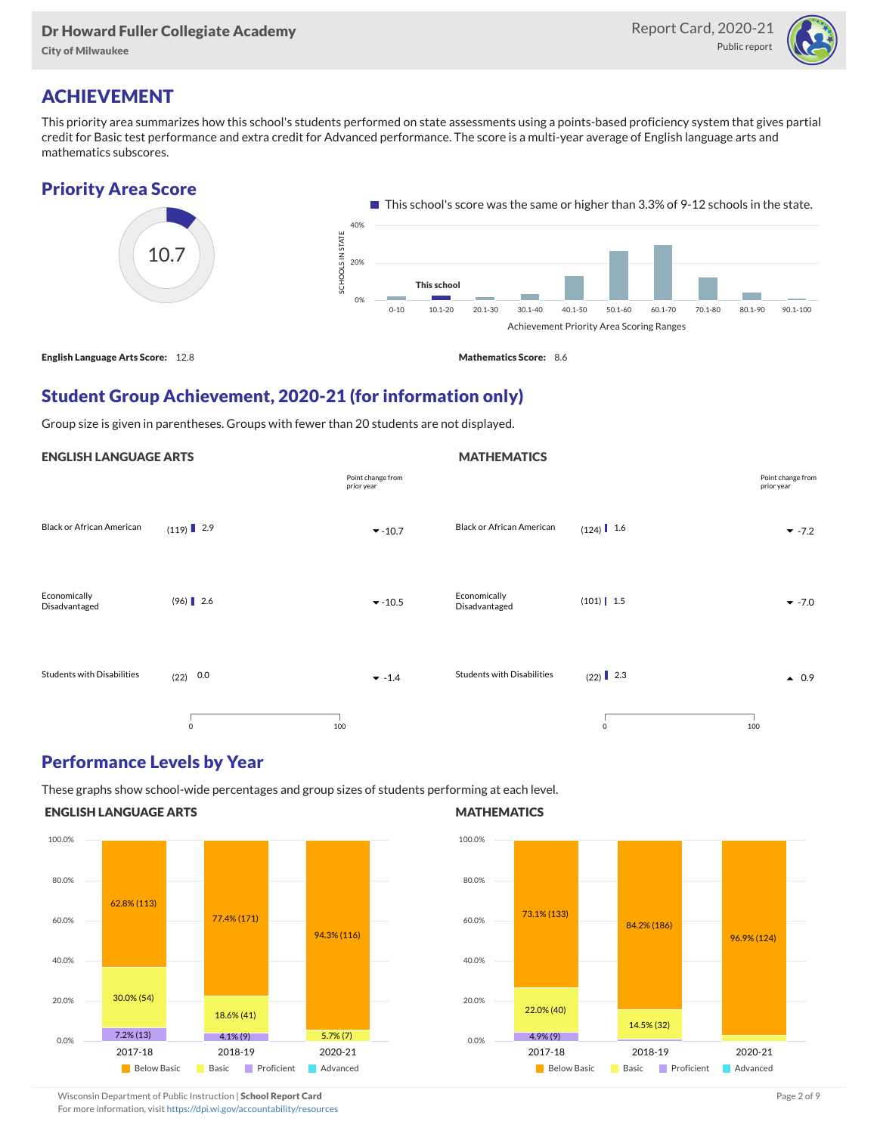#### Dr Howard Fuller Collegiate Academy

City of Milwaukee



## ACHIEVEMENT

This priority area summarizes how this school's students performed on state assessments using a points-based proficiency system that gives partial credit for Basic test performance and extra credit for Advanced performance. The score is a multi-year average of English language arts and mathematics subscores.





### Student Group Achievement, 2020-21 (for information only)

Group size is given in parentheses. Groups with fewer than 20 students are not displayed.

#### ENGLISH LANGUAGE ARTS

|                               |             | Point change from<br>prior year |                                   |               | Point change from<br>prior year |
|-------------------------------|-------------|---------------------------------|-----------------------------------|---------------|---------------------------------|
| Black or African American     | $(119)$ 2.9 | $-10.7$                         | <b>Black or African American</b>  | $(124)$ 1.6   | $-7.2$                          |
| Economically<br>Disadvantaged | $(96)$ 2.6  | $-10.5$                         | Economically<br>Disadvantaged     | $(101)$   1.5 | $\blacktriangledown$ -7.0       |
| Students with Disabilities    | $(22)$ 0.0  | $-1.4$                          | <b>Students with Disabilities</b> | $(22)$ 2.3    | $\bullet$ 0.9                   |
|                               | $\mathbf 0$ | 100                             |                                   | $\mathbf 0$   | 100                             |

#### Performance Levels by Year

These graphs show school-wide percentages and group sizes of students performing at each level.

#### ENGLISH LANGUAGE ARTS



#### **MATHEMATICS**

**MATHEMATICS** 



Wisconsin Department of Public Instruction | School Report Card Page 2 of 9 and 2 of 9 and 2 of 9 and 2 of 9 and 2 of 9 and 2 of 9 and 2 of 9 and 2 of 9 and 2 of 9 and 2 of 9 and 2 of 9 and 2 of 9 and 2 of 9 and 2 of 9 and

For more information, visit <https://dpi.wi.gov/accountability/resources>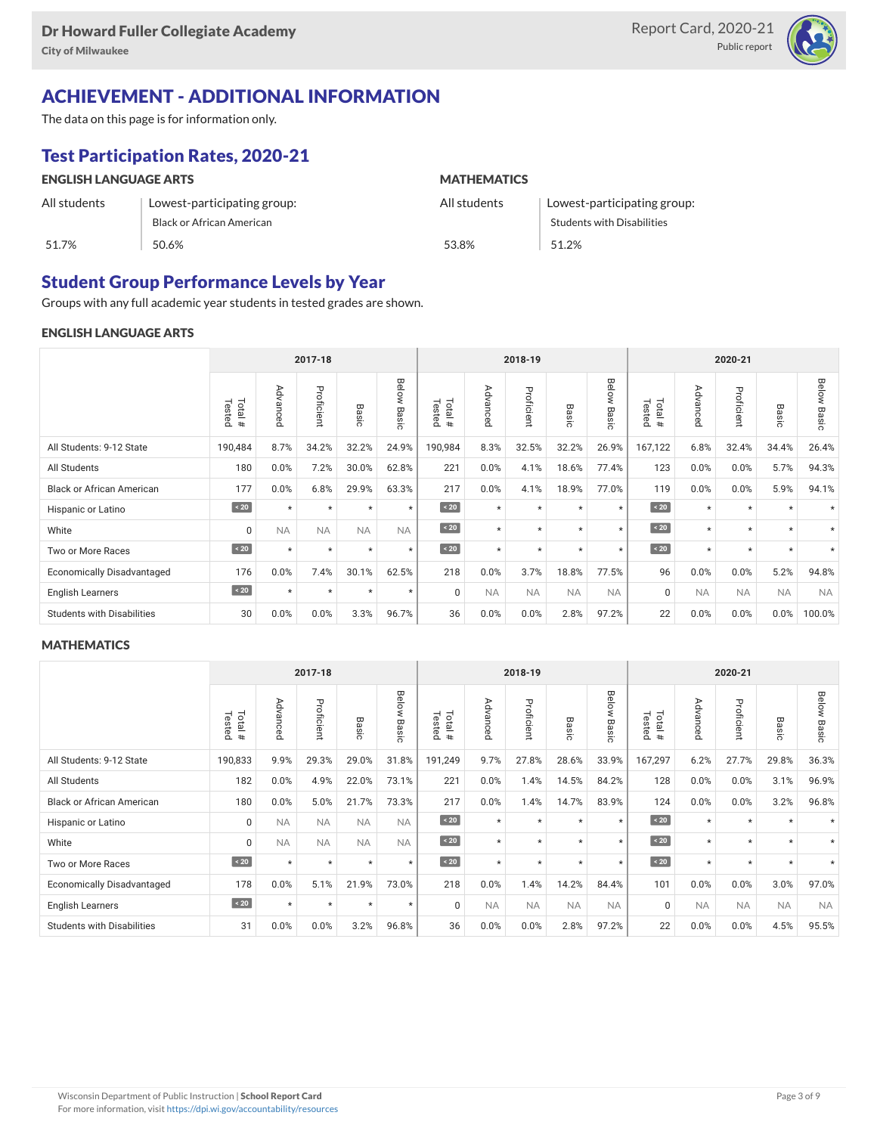

# ACHIEVEMENT - ADDITIONAL INFORMATION

The data on this page is for information only.

# Test Participation Rates, 2020-21

| <b>ENGLISH LANGUAGE ARTS</b> |                                  | <b>MATHEMATICS</b> |                                   |  |  |  |  |
|------------------------------|----------------------------------|--------------------|-----------------------------------|--|--|--|--|
| All students                 | Lowest-participating group:      | All students       | Lowest-participating group:       |  |  |  |  |
|                              | <b>Black or African American</b> |                    | <b>Students with Disabilities</b> |  |  |  |  |
| 51.7%                        | 50.6%                            | 53.8%              | 51.2%                             |  |  |  |  |

### Student Group Performance Levels by Year

Groups with any full academic year students in tested grades are shown.

#### ENGLISH LANGUAGE ARTS

|                                   |                   | 2017-18     |            |                  |                |                   | 2018-19   |            |                  |                |                          | 2020-21                                             |            |           |                          |  |
|-----------------------------------|-------------------|-------------|------------|------------------|----------------|-------------------|-----------|------------|------------------|----------------|--------------------------|-----------------------------------------------------|------------|-----------|--------------------------|--|
|                                   | Tested<br>Total # | Advanc<br>ይ | Proficient | $\varpi$<br>asic | Below<br>Basic | Tested<br>Total # | Advanced  | Proficient | Basi<br>$\Omega$ | Below<br>Basic | Tested<br>Total<br>$\pm$ | $\triangleright$<br>evb.<br>∍<br>O<br>Œ<br>$\Omega$ | Proficient | Basic     | Below<br>Basi<br>$\circ$ |  |
| All Students: 9-12 State          | 190,484           | 8.7%        | 34.2%      | 32.2%            | 24.9%          | 190,984           | 8.3%      | 32.5%      | 32.2%            | 26.9%          | 167,122                  | 6.8%                                                | 32.4%      | 34.4%     | 26.4%                    |  |
| All Students                      | 180               | 0.0%        | 7.2%       | 30.0%            | 62.8%          | 221               | 0.0%      | 4.1%       | 18.6%            | 77.4%          | 123                      | 0.0%                                                | 0.0%       | 5.7%      | 94.3%                    |  |
| <b>Black or African American</b>  | 177               | 0.0%        | 6.8%       | 29.9%            | 63.3%          | 217               | 0.0%      | 4.1%       | 18.9%            | 77.0%          | 119                      | 0.0%                                                | 0.0%       | 5.9%      | 94.1%                    |  |
| Hispanic or Latino                | $\angle 20$       | $\star$     | $\star$    | $\star$          | $\star$        | $\sim 20$         | $\star$   | $\star$    | $\star$          | $\star$        | $\sim 20$                | $\star$                                             | $\star$    | $\star$   |                          |  |
| White                             | 0                 | <b>NA</b>   | <b>NA</b>  | <b>NA</b>        | <b>NA</b>      | $\sim 20$         | $\star$   | $\star$    | $\star$          | $\star$        | $\sim 20$                | $\star$                                             | $\star$    | $\star$   | $\star$                  |  |
| Two or More Races                 | $\angle 20$       | $\star$     | $\star$    | $\star$          | $\star$        | $\angle 20$       | $\star$   | $\star$    | $\star$          | $\star$        | $\angle 20$              | $\star$                                             | $\star$    | $\star$   |                          |  |
| <b>Economically Disadvantaged</b> | 176               | 0.0%        | 7.4%       | 30.1%            | 62.5%          | 218               | 0.0%      | 3.7%       | 18.8%            | 77.5%          | 96                       | 0.0%                                                | 0.0%       | 5.2%      | 94.8%                    |  |
| <b>English Learners</b>           | $\sim 20$         | $\star$     | $\star$    | $\star$          | $\star$        | $\Omega$          | <b>NA</b> | <b>NA</b>  | <b>NA</b>        | <b>NA</b>      | $\mathbf 0$              | <b>NA</b>                                           | <b>NA</b>  | <b>NA</b> | <b>NA</b>                |  |
| <b>Students with Disabilities</b> | 30                | 0.0%        | 0.0%       | 3.3%             | 96.7%          | 36                | 0.0%      | 0.0%       | 2.8%             | 97.2%          | 22                       | 0.0%                                                | 0.0%       | 0.0%      | 100.0%                   |  |

#### **MATHEMATICS**

|                                   | 2017-18          |               |            |           |                | 2018-19               |           |            |           |                | 2020-21              |                                              |               |           |                |
|-----------------------------------|------------------|---------------|------------|-----------|----------------|-----------------------|-----------|------------|-----------|----------------|----------------------|----------------------------------------------|---------------|-----------|----------------|
|                                   | Total#<br>Tested | Advance<br>Ö. | Proficient | Basic     | Below<br>Basic | Total #<br>Teste<br>ه | Advanced  | Proficient | Basic     | Below<br>Basic | Total<br>Tested<br># | Adv<br>$\omega$<br>O<br><b>D</b><br>$\Omega$ | Proficie<br>â | Basic     | Below<br>Basic |
| All Students: 9-12 State          | 190,833          | 9.9%          | 29.3%      | 29.0%     | 31.8%          | 191,249               | 9.7%      | 27.8%      | 28.6%     | 33.9%          | 167,297              | 6.2%                                         | 27.7%         | 29.8%     | 36.3%          |
| All Students                      | 182              | 0.0%          | 4.9%       | 22.0%     | 73.1%          | 221                   | 0.0%      | 1.4%       | 14.5%     | 84.2%          | 128                  | 0.0%                                         | 0.0%          | 3.1%      | 96.9%          |
| <b>Black or African American</b>  | 180              | 0.0%          | 5.0%       | 21.7%     | 73.3%          | 217                   | 0.0%      | 1.4%       | 14.7%     | 83.9%          | 124                  | 0.0%                                         | 0.0%          | 3.2%      | 96.8%          |
| Hispanic or Latino                | 0                | <b>NA</b>     | <b>NA</b>  | <b>NA</b> | <b>NA</b>      | $\sim 20$             | $\star$   | $\star$    | $\star$   | $\star$        | $\angle 20$          | $\star$                                      | $\star$       | $\star$   |                |
| White                             | 0                | <b>NA</b>     | <b>NA</b>  | <b>NA</b> | <b>NA</b>      | $\angle 20$           | $\star$   | $\star$    | $\star$   | $\star$        | $\angle 20$          | $\star$                                      | $\star$       | $\star$   | $\star$        |
| Two or More Races                 | $\angle 20$      | $\star$       | $\star$    | $\star$   | $\star$        | $\sim 20$             | $\star$   | $\star$    | $\star$   | $\star$        | $\sim 20$            | $\star$                                      | $\star$       | $\star$   | $\star$        |
| <b>Economically Disadvantaged</b> | 178              | 0.0%          | 5.1%       | 21.9%     | 73.0%          | 218                   | 0.0%      | 1.4%       | 14.2%     | 84.4%          | 101                  | 0.0%                                         | 0.0%          | 3.0%      | 97.0%          |
| <b>English Learners</b>           | $\sim 20$        | $\star$       | $\star$    | $\star$   | $\star$        | $\Omega$              | <b>NA</b> | <b>NA</b>  | <b>NA</b> | <b>NA</b>      | $\mathbf 0$          | <b>NA</b>                                    | <b>NA</b>     | <b>NA</b> | <b>NA</b>      |
| <b>Students with Disabilities</b> | 31               | 0.0%          | 0.0%       | 3.2%      | 96.8%          | 36                    | 0.0%      | 0.0%       | 2.8%      | 97.2%          | 22                   | 0.0%                                         | 0.0%          | 4.5%      | 95.5%          |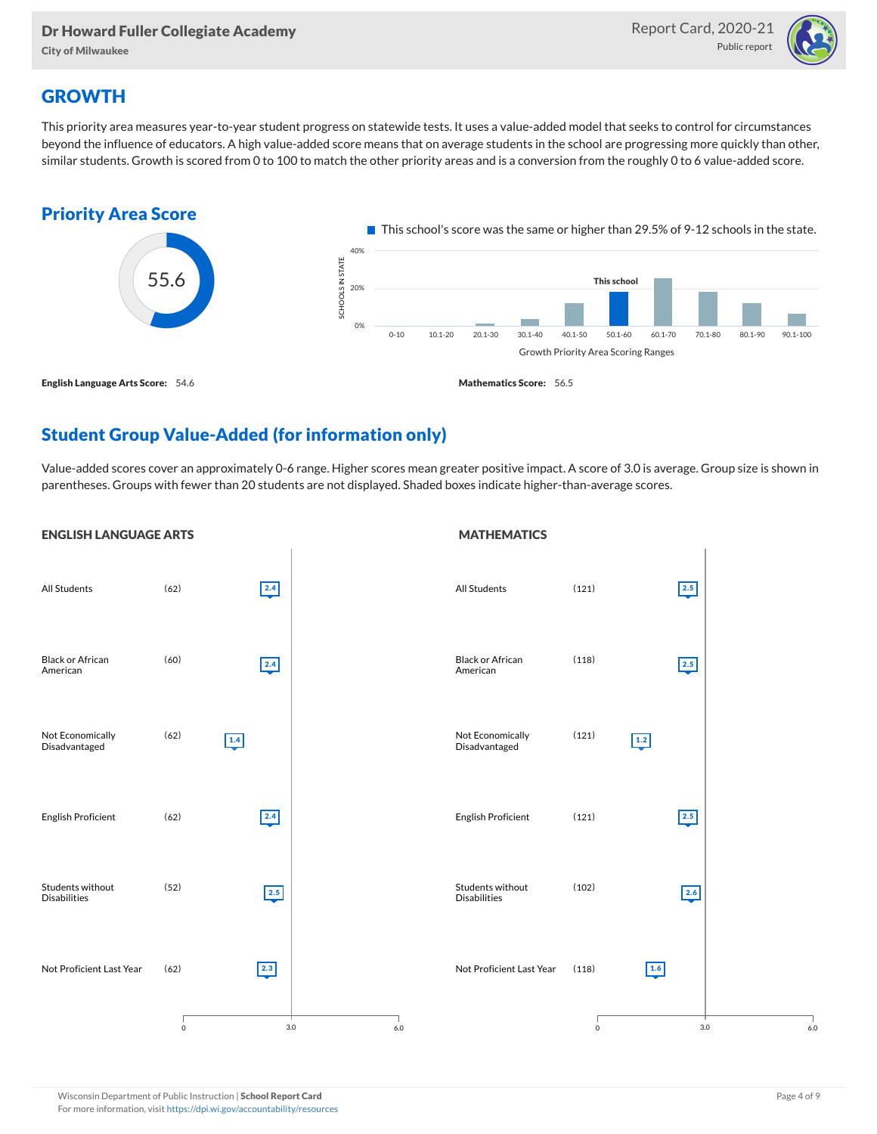City of Milwaukee



## **GROWTH**

This priority area measures year-to-year student progress on statewide tests. It uses a value-added model that seeks to control for circumstances beyond the influence of educators. A high value-added score means that on average students in the school are progressing more quickly than other, similar students. Growth is scored from 0 to 100 to match the other priority areas and is a conversion from the roughly 0 to 6 value-added score.



## Student Group Value-Added (for information only)

Value-added scores cover an approximately 0-6 range. Higher scores mean greater positive impact. A score of 3.0 is average. Group size is shown in parentheses. Groups with fewer than 20 students are not displayed. Shaded boxes indicate higher-than-average scores.

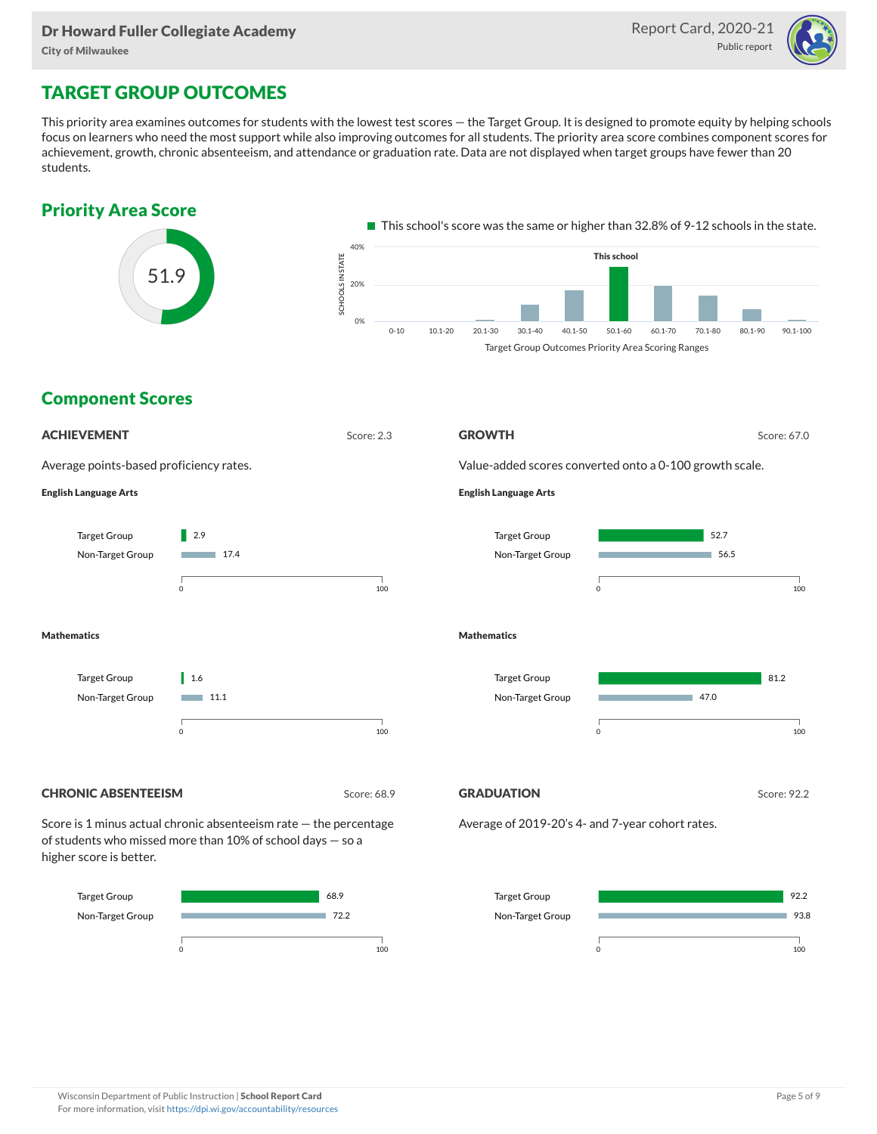

# TARGET GROUP OUTCOMES

This priority area examines outcomes for students with the lowest test scores — the Target Group. It is designed to promote equity by helping schools focus on learners who need the most support while also improving outcomes for all students. The priority area score combines component scores for achievement, growth, chronic absenteeism, and attendance or graduation rate. Data are not displayed when target groups have fewer than 20 students.



0 100

0 100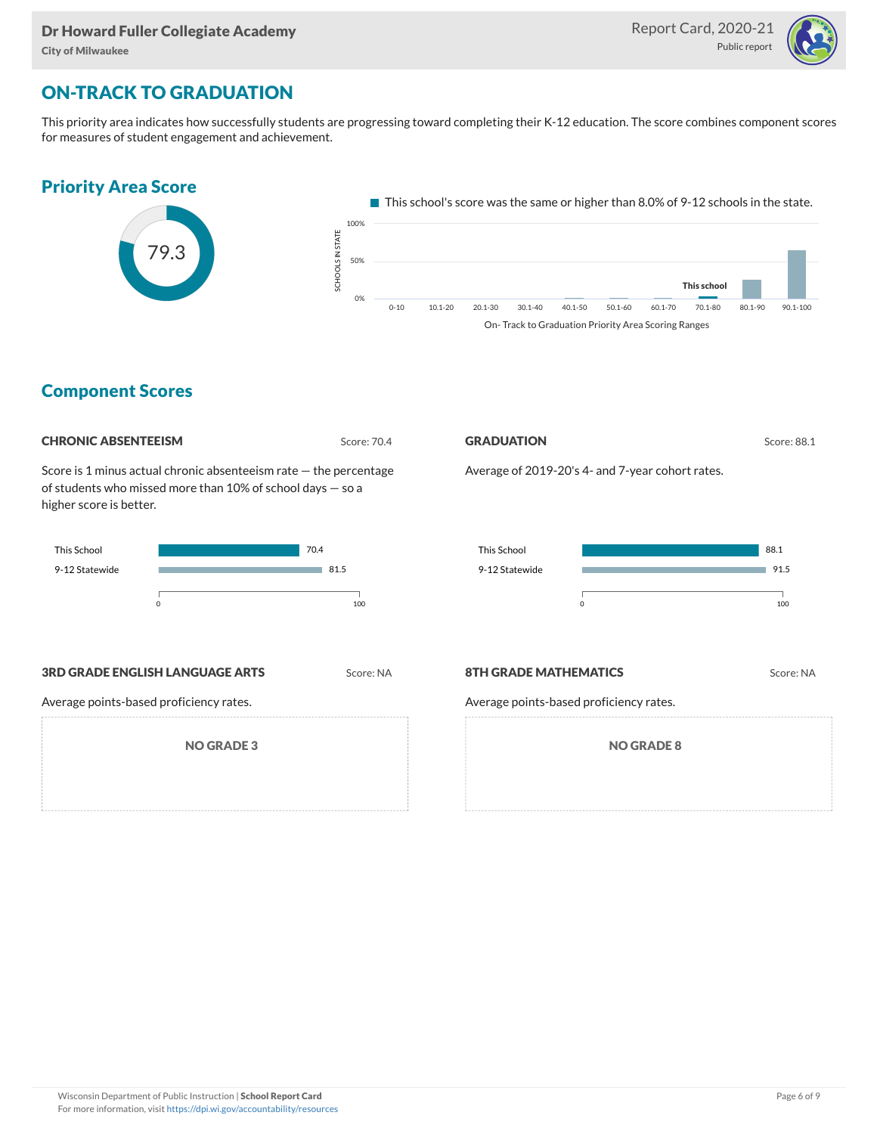

# ON-TRACK TO GRADUATION

This priority area indicates how successfully students are progressing toward completing their K-12 education. The score combines component scores for measures of student engagement and achievement.



### Component Scores

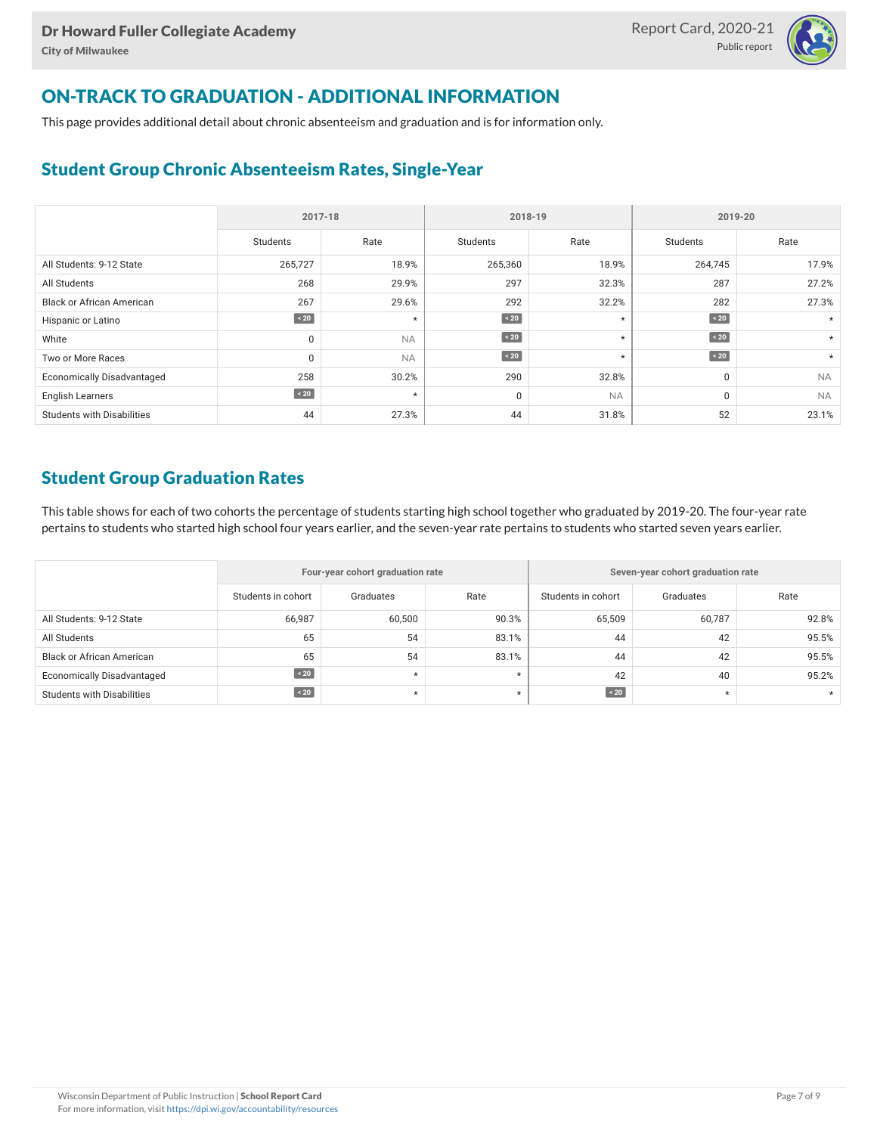![](_page_6_Picture_2.jpeg)

# ON-TRACK TO GRADUATION - ADDITIONAL INFORMATION

This page provides additional detail about chronic absenteeism and graduation and is for information only.

## Student Group Chronic Absenteeism Rates, Single-Year

|                                   | 2017-18     |           | 2018-19     |           | 2019-20     |           |  |
|-----------------------------------|-------------|-----------|-------------|-----------|-------------|-----------|--|
|                                   | Students    | Rate      | Students    | Rate      | Students    | Rate      |  |
| All Students: 9-12 State          | 265,727     | 18.9%     | 265,360     | 18.9%     | 264,745     | 17.9%     |  |
| All Students                      | 268         | 29.9%     | 297         | 32.3%     | 287         | 27.2%     |  |
| <b>Black or African American</b>  | 267         | 29.6%     | 292         | 32.2%     | 282         | 27.3%     |  |
| Hispanic or Latino                | $\sim 20$   | $\star$   | $\angle 20$ | $^\star$  | $\angle 20$ |           |  |
| White                             | $\mathbf 0$ | <b>NA</b> | $\sim 20$   | $^\star$  | $\sim 20$   | $\star$   |  |
| Two or More Races                 | $\Omega$    | <b>NA</b> | $\sim 20$   | $^\star$  | $\sim 20$   | $\star$   |  |
| <b>Economically Disadvantaged</b> | 258         | 30.2%     | 290         | 32.8%     | 0           | <b>NA</b> |  |
| <b>English Learners</b>           | $\angle 20$ | $\star$   | 0           | <b>NA</b> | 0           | <b>NA</b> |  |
| <b>Students with Disabilities</b> | 44          | 27.3%     | 44          | 31.8%     | 52          | 23.1%     |  |

### Student Group Graduation Rates

This table shows for each of two cohorts the percentage of students starting high school together who graduated by 2019-20. The four-year rate pertains to students who started high school four years earlier, and the seven-year rate pertains to students who started seven years earlier.

|                                   |                    | Four-year cohort graduation rate |         | Seven-year cohort graduation rate |           |       |  |  |  |
|-----------------------------------|--------------------|----------------------------------|---------|-----------------------------------|-----------|-------|--|--|--|
|                                   | Students in cohort | Graduates                        | Rate    | Students in cohort                | Graduates | Rate  |  |  |  |
| All Students: 9-12 State          | 66,987             | 60,500                           | 90.3%   | 65,509                            | 60,787    | 92.8% |  |  |  |
| All Students                      | 65                 | 54                               | 83.1%   | 44                                | 42        | 95.5% |  |  |  |
| <b>Black or African American</b>  | 65                 | 54                               | 83.1%   | 44                                | 42        | 95.5% |  |  |  |
| <b>Economically Disadvantaged</b> | $\sim 20$          | $\star$                          | $\star$ | 42                                | 40        | 95.2% |  |  |  |
| Students with Disabilities        | $\sim 20$          |                                  | $\star$ | $\angle 20$                       | $\star$   |       |  |  |  |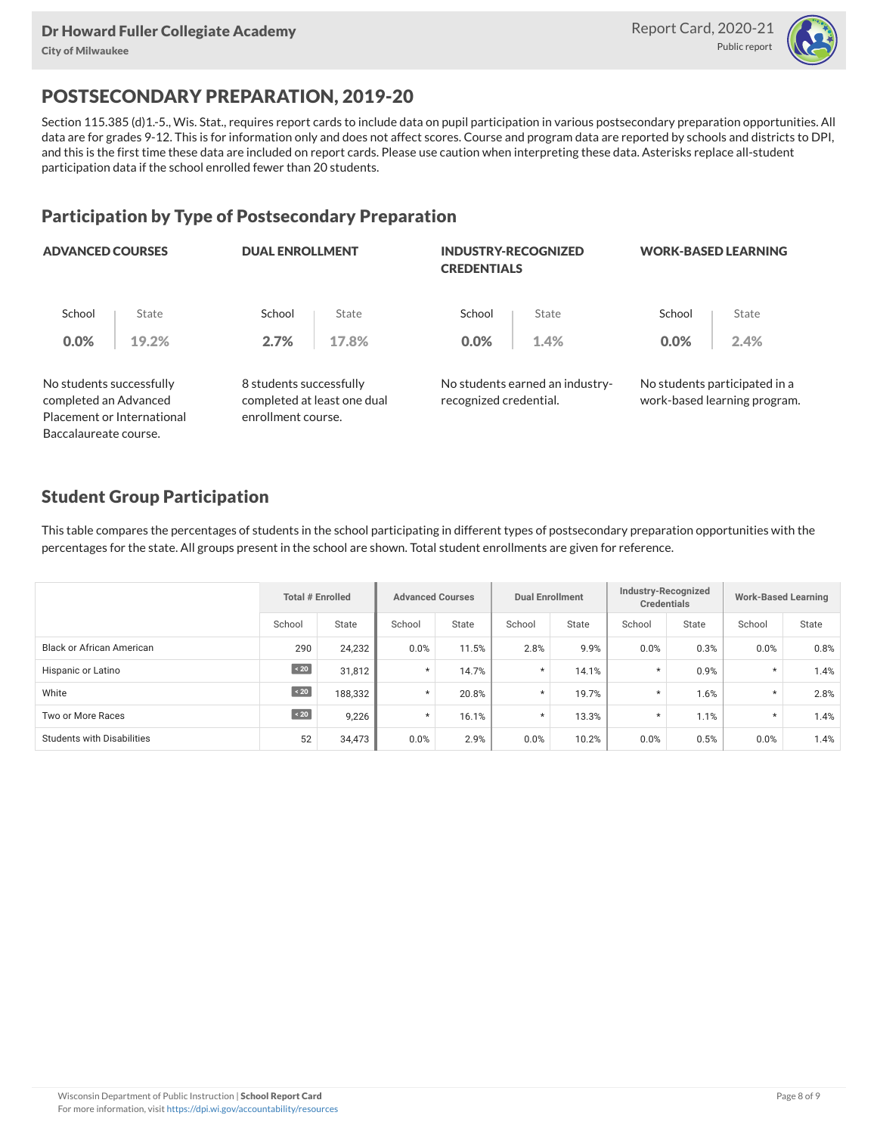![](_page_7_Picture_2.jpeg)

# POSTSECONDARY PREPARATION, 2019-20

Section 115.385 (d)1.-5., Wis. Stat., requires report cards to include data on pupil participation in various postsecondary preparation opportunities. All data are for grades 9-12. This is for information only and does not affect scores. Course and program data are reported by schools and districts to DPI, and this is the first time these data are included on report cards. Please use caution when interpreting these data. Asterisks replace all-student participation data if the school enrolled fewer than 20 students.

### Participation by Type of Postsecondary Preparation

| <b>ADVANCED COURSES</b>                           |                            | <b>DUAL ENROLLMENT</b>                                                       |       | <b>INDUSTRY-RECOGNIZED</b><br><b>CREDENTIALS</b> |                                 | <b>WORK-BASED LEARNING</b> |                                                               |  |
|---------------------------------------------------|----------------------------|------------------------------------------------------------------------------|-------|--------------------------------------------------|---------------------------------|----------------------------|---------------------------------------------------------------|--|
| School                                            | State                      | School                                                                       | State | School                                           | State                           | School                     | State                                                         |  |
| 0.0%                                              | 19.2%                      | 2.7%                                                                         | 17.8% | 0.0%                                             | 1.4%                            | 0.0%                       | 2.4%                                                          |  |
| No students successfully<br>completed an Advanced | Placement or International | 8 students successfully<br>completed at least one dual<br>enrollment course. |       | recognized credential.                           | No students earned an industry- |                            | No students participated in a<br>work-based learning program. |  |
| Baccalaureate course.                             |                            |                                                                              |       |                                                  |                                 |                            |                                                               |  |

### Student Group Participation

This table compares the percentages of students in the school participating in different types of postsecondary preparation opportunities with the percentages for the state. All groups present in the school are shown. Total student enrollments are given for reference.

|                                   | Total # Enrolled |         | <b>Advanced Courses</b> |       | <b>Dual Enrollment</b> |       | Industry-Recognized<br><b>Credentials</b> |              | <b>Work-Based Learning</b> |              |
|-----------------------------------|------------------|---------|-------------------------|-------|------------------------|-------|-------------------------------------------|--------------|----------------------------|--------------|
|                                   | School           | State   | School                  | State | School                 | State | School                                    | <b>State</b> | School                     | <b>State</b> |
| <b>Black or African American</b>  | 290              | 24,232  | 0.0%                    | 11.5% | 2.8%                   | 9.9%  | 0.0%                                      | 0.3%         | 0.0%                       | 0.8%         |
| Hispanic or Latino                | $\sim 20$        | 31,812  | $\star$                 | 14.7% | $\star$                | 14.1% | $\star$                                   | 0.9%         | $\star$                    | 1.4%         |
| White                             | $\angle 20$      | 188,332 | $\star$                 | 20.8% | $\star$                | 19.7% | $\star$                                   | 1.6%         | $\star$                    | 2.8%         |
| Two or More Races                 | $\angle 20$      | 9,226   | $\star$                 | 16.1% | $\star$                | 13.3% | $\star$                                   | 1.1%         | $\star$                    | 1.4%         |
| <b>Students with Disabilities</b> | 52               | 34,473  | 0.0%                    | 2.9%  | 0.0%                   | 10.2% | 0.0%                                      | 0.5%         | 0.0%                       | 1.4%         |